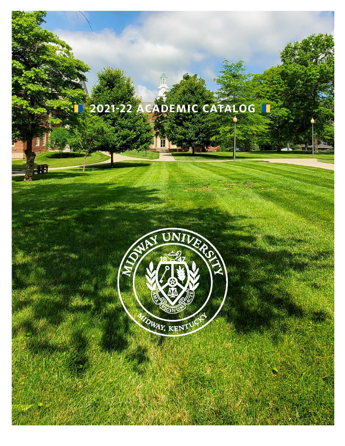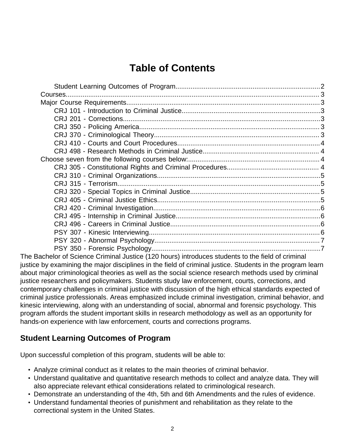# **Table of Contents**

The Bachelor of Science Criminal Justice (120 hours) introduces students to the field of criminal justice by examining the major disciplines in the field of criminal justice. Students in the program learn about major criminological theories as well as the social science research methods used by criminal justice researchers and policymakers. Students study law enforcement, courts, corrections, and contemporary challenges in criminal justice with discussion of the high ethical standards expected of criminal justice professionals. Areas emphasized include criminal investigation, criminal behavior, and kinesic interviewing, along with an understanding of social, abnormal and forensic psychology. This program affords the student important skills in research methodology as well as an opportunity for hands-on experience with law enforcement, courts and corrections programs.

### <span id="page-1-0"></span>**Student Learning Outcomes of Program**

Upon successful completion of this program, students will be able to:

- Analyze criminal conduct as it relates to the main theories of criminal behavior.
- Understand qualitative and quantitative research methods to collect and analyze data. They will also appreciate relevant ethical considerations related to criminological research.
- Demonstrate an understanding of the 4th, 5th and 6th Amendments and the rules of evidence.
- Understand fundamental theories of punishment and rehabilitation as they relate to the correctional system in the United States.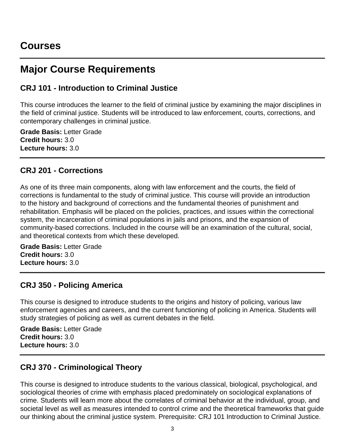# <span id="page-2-0"></span>**Courses**

# <span id="page-2-1"></span>**Major Course Requirements**

## <span id="page-2-2"></span>**CRJ 101 - Introduction to Criminal Justice**

This course introduces the learner to the field of criminal justice by examining the major disciplines in the field of criminal justice. Students will be introduced to law enforcement, courts, corrections, and contemporary challenges in criminal justice.

**Grade Basis:** Letter Grade **Credit hours:** 3.0 **Lecture hours:** 3.0

### <span id="page-2-3"></span>**CRJ 201 - Corrections**

As one of its three main components, along with law enforcement and the courts, the field of corrections is fundamental to the study of criminal justice. This course will provide an introduction to the history and background of corrections and the fundamental theories of punishment and rehabilitation. Emphasis will be placed on the policies, practices, and issues within the correctional system, the incarceration of criminal populations in jails and prisons, and the expansion of community-based corrections. Included in the course will be an examination of the cultural, social, and theoretical contexts from which these developed.

**Grade Basis:** Letter Grade **Credit hours:** 3.0 **Lecture hours:** 3.0

## <span id="page-2-4"></span>**CRJ 350 - Policing America**

This course is designed to introduce students to the origins and history of policing, various law enforcement agencies and careers, and the current functioning of policing in America. Students will study strategies of policing as well as current debates in the field.

**Grade Basis:** Letter Grade **Credit hours:** 3.0 **Lecture hours:** 3.0

## <span id="page-2-5"></span>**CRJ 370 - Criminological Theory**

This course is designed to introduce students to the various classical, biological, psychological, and sociological theories of crime with emphasis placed predominately on sociological explanations of crime. Students will learn more about the correlates of criminal behavior at the individual, group, and societal level as well as measures intended to control crime and the theoretical frameworks that guide our thinking about the criminal justice system. Prerequisite: CRJ 101 Introduction to Criminal Justice.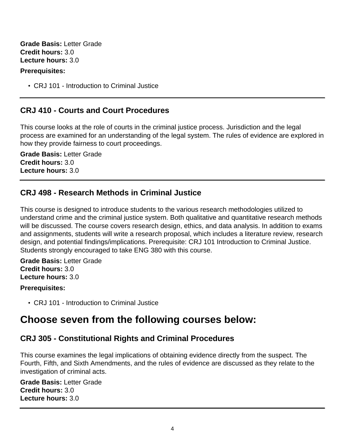**Grade Basis:** Letter Grade **Credit hours:** 3.0 **Lecture hours:** 3.0

#### **Prerequisites:**

• CRJ 101 - Introduction to Criminal Justice

### <span id="page-3-0"></span>**CRJ 410 - Courts and Court Procedures**

This course looks at the role of courts in the criminal justice process. Jurisdiction and the legal process are examined for an understanding of the legal system. The rules of evidence are explored in how they provide fairness to court proceedings.

**Grade Basis:** Letter Grade **Credit hours:** 3.0 **Lecture hours:** 3.0

### <span id="page-3-1"></span>**CRJ 498 - Research Methods in Criminal Justice**

This course is designed to introduce students to the various research methodologies utilized to understand crime and the criminal justice system. Both qualitative and quantitative research methods will be discussed. The course covers research design, ethics, and data analysis. In addition to exams and assignments, students will write a research proposal, which includes a literature review, research design, and potential findings/implications. Prerequisite: CRJ 101 Introduction to Criminal Justice. Students strongly encouraged to take ENG 380 with this course.

#### **Grade Basis:** Letter Grade **Credit hours:** 3.0 **Lecture hours:** 3.0

#### **Prerequisites:**

• CRJ 101 - Introduction to Criminal Justice

# <span id="page-3-2"></span>**Choose seven from the following courses below:**

### <span id="page-3-3"></span>**CRJ 305 - Constitutional Rights and Criminal Procedures**

This course examines the legal implications of obtaining evidence directly from the suspect. The Fourth, Fifth, and Sixth Amendments, and the rules of evidence are discussed as they relate to the investigation of criminal acts.

**Grade Basis:** Letter Grade **Credit hours:** 3.0 **Lecture hours:** 3.0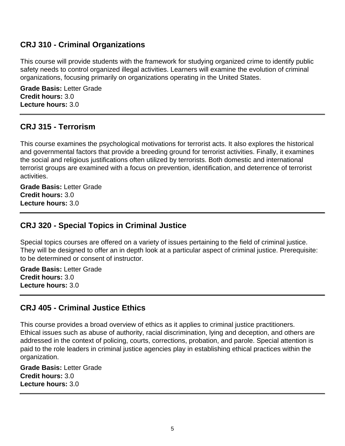### <span id="page-4-0"></span>**CRJ 310 - Criminal Organizations**

This course will provide students with the framework for studying organized crime to identify public safety needs to control organized illegal activities. Learners will examine the evolution of criminal organizations, focusing primarily on organizations operating in the United States.

**Grade Basis:** Letter Grade **Credit hours:** 3.0 **Lecture hours:** 3.0

#### <span id="page-4-1"></span>**CRJ 315 - Terrorism**

This course examines the psychological motivations for terrorist acts. It also explores the historical and governmental factors that provide a breeding ground for terrorist activities. Finally, it examines the social and religious justifications often utilized by terrorists. Both domestic and international terrorist groups are examined with a focus on prevention, identification, and deterrence of terrorist activities.

**Grade Basis:** Letter Grade **Credit hours:** 3.0 **Lecture hours:** 3.0

### <span id="page-4-2"></span>**CRJ 320 - Special Topics in Criminal Justice**

Special topics courses are offered on a variety of issues pertaining to the field of criminal justice. They will be designed to offer an in depth look at a particular aspect of criminal justice. Prerequisite: to be determined or consent of instructor.

**Grade Basis:** Letter Grade **Credit hours:** 3.0 **Lecture hours:** 3.0

### <span id="page-4-3"></span>**CRJ 405 - Criminal Justice Ethics**

This course provides a broad overview of ethics as it applies to criminal justice practitioners. Ethical issues such as abuse of authority, racial discrimination, lying and deception, and others are addressed in the context of policing, courts, corrections, probation, and parole. Special attention is paid to the role leaders in criminal justice agencies play in establishing ethical practices within the organization.

**Grade Basis:** Letter Grade **Credit hours:** 3.0 **Lecture hours:** 3.0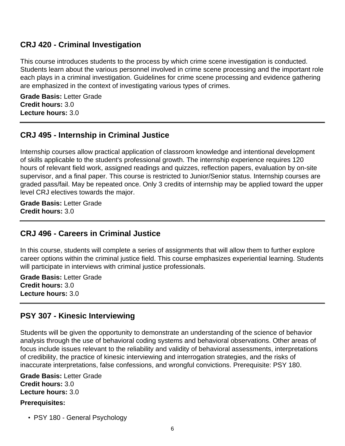### <span id="page-5-0"></span>**CRJ 420 - Criminal Investigation**

This course introduces students to the process by which crime scene investigation is conducted. Students learn about the various personnel involved in crime scene processing and the important role each plays in a criminal investigation. Guidelines for crime scene processing and evidence gathering are emphasized in the context of investigating various types of crimes.

**Grade Basis:** Letter Grade **Credit hours:** 3.0 **Lecture hours:** 3.0

### <span id="page-5-1"></span>**CRJ 495 - Internship in Criminal Justice**

Internship courses allow practical application of classroom knowledge and intentional development of skills applicable to the student's professional growth. The internship experience requires 120 hours of relevant field work, assigned readings and quizzes, reflection papers, evaluation by on-site supervisor, and a final paper. This course is restricted to Junior/Senior status. Internship courses are graded pass/fail. May be repeated once. Only 3 credits of internship may be applied toward the upper level CRJ electives towards the major.

**Grade Basis:** Letter Grade **Credit hours:** 3.0

### <span id="page-5-2"></span>**CRJ 496 - Careers in Criminal Justice**

In this course, students will complete a series of assignments that will allow them to further explore career options within the criminal justice field. This course emphasizes experiential learning. Students will participate in interviews with criminal justice professionals.

**Grade Basis:** Letter Grade **Credit hours:** 3.0 **Lecture hours:** 3.0

#### <span id="page-5-3"></span>**PSY 307 - Kinesic Interviewing**

Students will be given the opportunity to demonstrate an understanding of the science of behavior analysis through the use of behavioral coding systems and behavioral observations. Other areas of focus include issues relevant to the reliability and validity of behavioral assessments, interpretations of credibility, the practice of kinesic interviewing and interrogation strategies, and the risks of inaccurate interpretations, false confessions, and wrongful convictions. Prerequisite: PSY 180.

**Grade Basis:** Letter Grade **Credit hours:** 3.0 **Lecture hours:** 3.0

#### **Prerequisites:**

• PSY 180 - General Psychology